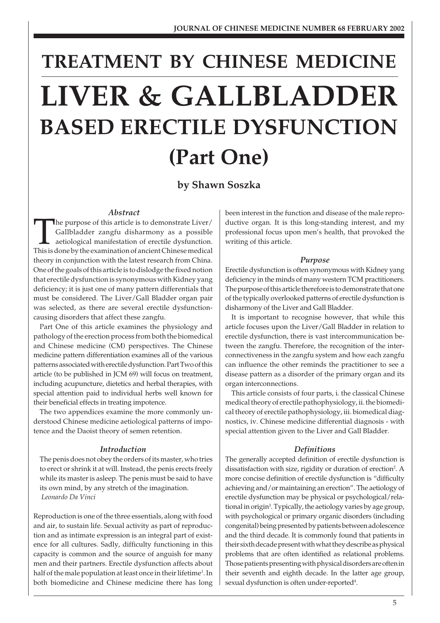# **TREATMENT BY CHINESE MEDICINE LIVER & GALLBLADDER BASED ERECTILE DYSFUNCTION (Part One)**

**by Shawn Soszka**

# *Abstract*

The purpose of this article is to demonstrate Liver/ Gallbladder zangfu disharmony as a possible aetiological manifestation of erectile dysfunction. This is done by the examination of ancient Chinese medical theory in conjunction with the latest research from China. One of the goals of this article is to dislodge the fixed notion that erectile dysfunction is synonymous with Kidney yang deficiency; it is just one of many pattern differentials that must be considered. The Liver/Gall Bladder organ pair was selected, as there are several erectile dysfunctioncausing disorders that affect these zangfu.

Part One of this article examines the physiology and pathology of the erection process from both the biomedical and Chinese medicine (CM) perspectives. The Chinese medicine pattern differentiation examines all of the various patterns associated with erectile dysfunction. Part Two of this article (to be published in JCM 69) will focus on treatment, including acupuncture, dietetics and herbal therapies, with special attention paid to individual herbs well known for their beneficial effects in treating impotence.

The two appendices examine the more commonly understood Chinese medicine aetiological patterns of impotence and the Daoist theory of semen retention.

#### *Introduction*

The penis does not obey the orders of its master, who tries to erect or shrink it at will. Instead, the penis erects freely while its master is asleep. The penis must be said to have its own mind, by any stretch of the imagination. *Leonardo Da Vinci*

Reproduction is one of the three essentials, along with food and air, to sustain life. Sexual activity as part of reproduction and as intimate expression is an integral part of existence for all cultures. Sadly, difficulty functioning in this capacity is common and the source of anguish for many men and their partners. Erectile dysfunction affects about half of the male population at least once in their lifetime<sup>1</sup>. In both biomedicine and Chinese medicine there has long

been interest in the function and disease of the male reproductive organ. It is this long-standing interest, and my professional focus upon men's health, that provoked the writing of this article.

# *Purpose*

Erectile dysfunction is often synonymous with Kidney yang deficiency in the minds of many western TCM practitioners. The purpose of this article therefore is to demonstrate that one of the typically overlooked patterns of erectile dysfunction is disharmony of the Liver and Gall Bladder.

It is important to recognise however, that while this article focuses upon the Liver/Gall Bladder in relation to erectile dysfunction, there is vast intercommunication between the zangfu. Therefore, the recognition of the interconnectiveness in the zangfu system and how each zangfu can influence the other reminds the practitioner to see a disease pattern as a disorder of the primary organ and its organ interconnections.

This article consists of four parts, i. the classical Chinese medical theory of erectile pathophysiology, ii. the biomedical theory of erectile pathophysiology, iii. biomedical diagnostics, iv. Chinese medicine differential diagnosis - with special attention given to the Liver and Gall Bladder.

# *Definitions*

The generally accepted definition of erectile dysfunction is dissatisfaction with size, rigidity or duration of erection<sup>2</sup>. A more concise definition of erectile dysfunction is "difficulty achieving and/or maintaining an erection". The aetiology of erectile dysfunction may be physical or psychological/relational in origin<sup>3</sup>. Typically, the aetiology varies by age group, with psychological or primary organic disorders (including congenital) being presented by patients between adolescence and the third decade. It is commonly found that patients in their sixth decade present with what they describe as physical problems that are often identified as relational problems. Those patients presenting with physical disorders are often in their seventh and eighth decade. In the latter age group, sexual dysfunction is often under-reported<sup>4</sup>.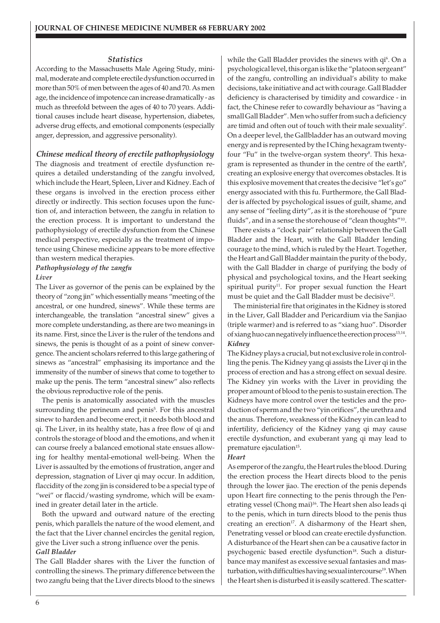# *Statistics*

According to the Massachusetts Male Ageing Study, minimal, moderate and complete erectile dysfunction occurred in more than 50% of men between the ages of 40 and 70. As men age, the incidence of impotence can increase dramatically - as much as threefold between the ages of 40 to 70 years. Additional causes include heart disease, hypertension, diabetes, adverse drug effects, and emotional components (especially anger, depression, and aggressive personality).

# *Chinese medical theory of erectile pathophysiology*

The diagnosis and treatment of erectile dysfunction requires a detailed understanding of the zangfu involved, which include the Heart, Spleen, Liver and Kidney. Each of these organs is involved in the erection process either directly or indirectly. This section focuses upon the function of, and interaction between, the zangfu in relation to the erection process. It is important to understand the pathophysiology of erectile dysfunction from the Chinese medical perspective, especially as the treatment of impotence using Chinese medicine appears to be more effective than western medical therapies.

# *Pathophysiology of the zangfu*

#### *Liver*

The Liver as governor of the penis can be explained by the theory of "zong jin" which essentially means "meeting of the ancestral, or one hundred, sinews". While these terms are interchangeable, the translation "ancestral sinew" gives a more complete understanding, as there are two meanings in its name. First, since the Liver is the ruler of the tendons and sinews, the penis is thought of as a point of sinew convergence. The ancient scholars referred to this large gathering of sinews as "ancestral" emphasising its importance and the immensity of the number of sinews that come to together to make up the penis. The term "ancestral sinew" also reflects the obvious reproductive role of the penis.

The penis is anatomically associated with the muscles surrounding the perineum and penis<sup>5</sup>. For this ancestral sinew to harden and become erect, it needs both blood and qi. The Liver, in its healthy state, has a free flow of qi and controls the storage of blood and the emotions, and when it can course freely a balanced emotional state ensues allowing for healthy mental-emotional well-being. When the Liver is assaulted by the emotions of frustration, anger and depression, stagnation of Liver qi may occur. In addition, flaccidity of the zong jin is considered to be a special type of "wei" or flaccid/wasting syndrome, which will be examined in greater detail later in the article.

Both the upward and outward nature of the erecting penis, which parallels the nature of the wood element, and the fact that the Liver channel encircles the genital region, give the Liver such a strong influence over the penis. *Gall Bladder*

The Gall Bladder shares with the Liver the function of controlling the sinews. The primary difference between the two zangfu being that the Liver directs blood to the sinews

while the Gall Bladder provides the sinews with qi'. On a psychological level, this organ is like the "platoon sergeant" of the zangfu, controlling an individual's ability to make decisions, take initiative and act with courage. Gall Bladder deficiency is characterised by timidity and cowardice - in fact, the Chinese refer to cowardly behaviour as "having a small Gall Bladder". Men who suffer from such a deficiency are timid and often out of touch with their male sexuality<sup>7</sup>. On a deeper level, the Gallbladder has an outward moving energy and is represented by the I Ching hexagram twentyfour "Fu" in the twelve-organ system theory<sup>8</sup>. This hexagram is represented as thunder in the centre of the earth $^9$ , creating an explosive energy that overcomes obstacles. It is this explosive movement that creates the decisive "let's go" energy associated with this fu. Furthermore, the Gall Bladder is affected by psychological issues of guilt, shame, and any sense of "feeling dirty", as it is the storehouse of "pure fluids", and in a sense the storehouse of "clean thoughts"<sup>10</sup>.

There exists a "clock pair" relationship between the Gall Bladder and the Heart, with the Gall Bladder lending courage to the mind, which is ruled by the Heart. Together, the Heart and Gall Bladder maintain the purity of the body, with the Gall Bladder in charge of purifying the body of physical and psychological toxins, and the Heart seeking spiritual purity<sup>11</sup>. For proper sexual function the Heart must be quiet and the Gall Bladder must be decisive<sup>12</sup>.

The ministerial fire that originates in the Kidney is stored in the Liver, Gall Bladder and Pericardium via the Sanjiao (triple warmer) and is referred to as "xiang huo". Disorder of xiang huo can negatively influence the erection process<sup>13,14</sup>. *Kidney*

The Kidney plays a crucial, but not exclusive role in controlling the penis. The Kidney yang qi assists the Liver qi in the process of erection and has a strong effect on sexual desire. The Kidney yin works with the Liver in providing the proper amount of blood to the penis to sustain erection. The Kidneys have more control over the testicles and the production of sperm and the two "yin orifices", the urethra and the anus. Therefore, weakness of the Kidney yin can lead to infertility, deficiency of the Kidney yang qi may cause erectile dysfunction, and exuberant yang qi may lead to premature ejaculation<sup>15</sup>.

#### *Heart*

As emperor of the zangfu, the Heart rules the blood. During the erection process the Heart directs blood to the penis through the lower jiao. The erection of the penis depends upon Heart fire connecting to the penis through the Penetrating vessel (Chong mai)<sup>16</sup>. The Heart shen also leads qi to the penis, which in turn directs blood to the penis thus creating an erection<sup>17</sup>. A disharmony of the Heart shen, Penetrating vessel or blood can create erectile dysfunction. A disturbance of the Heart shen can be a causative factor in psychogenic based erectile dysfunction<sup>18</sup>. Such a disturbance may manifest as excessive sexual fantasies and masturbation, with difficulties having sexual intercourse<sup>19</sup>. When the Heart shen is disturbed it is easily scattered. The scatter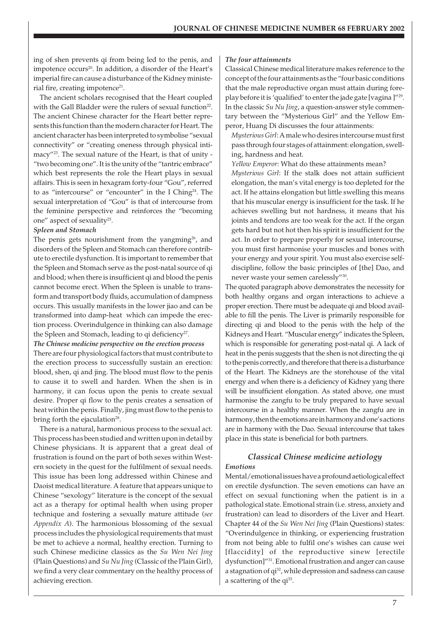ing of shen prevents qi from being led to the penis, and impotence occurs<sup>20</sup>. In addition, a disorder of the Heart's imperial fire can cause a disturbance of the Kidney ministerial fire, creating impotence $21$ .

The ancient scholars recognised that the Heart coupled with the Gall Bladder were the rulers of sexual function<sup>22</sup>. The ancient Chinese character for the Heart better represents this function than the modern character for Heart. The ancient character has been interpreted to symbolise "sexual connectivity" or "creating oneness through physical intimacy"23. The sexual nature of the Heart, is that of unity - "two becoming one". It is the unity of the "tantric embrace" which best represents the role the Heart plays in sexual affairs. This is seen in hexagram forty-four "Gou", referred to as "intercourse" or "encounter" in the I Ching<sup>24</sup>. The sexual interpretation of "Gou" is that of intercourse from the feminine perspective and reinforces the "becoming one" aspect of sexuality<sup>25</sup>.

#### *Spleen and Stomach*

The penis gets nourishment from the yangming<sup>26</sup>, and disorders of the Spleen and Stomach can therefore contribute to erectile dysfunction. It is important to remember that the Spleen and Stomach serve as the post-natal source of qi and blood; when there is insufficient qi and blood the penis cannot become erect. When the Spleen is unable to transform and transport body fluids, accumulation of dampness occurs. This usually manifests in the lower jiao and can be transformed into damp-heat which can impede the erection process. Overindulgence in thinking can also damage the Spleen and Stomach, leading to qi deficiency<sup>27</sup>.

*The Chinese medicine perspective on the erection process* There are four physiological factors that must contribute to the erection process to successfully sustain an erection: blood, shen, qi and jing. The blood must flow to the penis to cause it to swell and harden. When the shen is in harmony, it can focus upon the penis to create sexual desire. Proper qi flow to the penis creates a sensation of heat within the penis. Finally, jing must flow to the penis to bring forth the ejaculation $28$ .

There is a natural, harmonious process to the sexual act. This process has been studied and written upon in detail by Chinese physicians. It is apparent that a great deal of frustration is found on the part of both sexes within Western society in the quest for the fulfilment of sexual needs. This issue has been long addressed within Chinese and Daoist medical literature. A feature that appears unique to Chinese "sexology" literature is the concept of the sexual act as a therapy for optimal health when using proper technique and fostering a sexually mature attitude (*see Appendix A*). The harmonious blossoming of the sexual process includes the physiological requirements that must be met to achieve a normal, healthy erection. Turning to such Chinese medicine classics as the *Su Wen Nei Jing* (Plain Questions) and *Su Nu Jing* (Classic of the Plain Girl), we find a very clear commentary on the healthy process of achieving erection.

#### *The four attainments*

Classical Chinese medical literature makes reference to the concept of the four attainments as the "four basic conditions that the male reproductive organ must attain during foreplay before it is 'qualified' to enter the jade gate [vagina ]"29. In the classic *Su Nu Jing*, a question-answer style commentary between the "Mysterious Girl" and the Yellow Emperor, Huang Di discusses the four attainments:

*Mysterious Girl*: A male who desires intercourse must first pass through four stages of attainment: elongation, swelling, hardness and heat.

*Yellow Emperor*: What do these attainments mean?

*Mysterious Girl*: If the stalk does not attain sufficient elongation, the man's vital energy is too depleted for the act. If he attains elongation but little swelling this means that his muscular energy is insufficient for the task. If he achieves swelling but not hardness, it means that his joints and tendons are too weak for the act. If the organ gets hard but not hot then his spirit is insufficient for the act. In order to prepare properly for sexual intercourse, you must first harmonise your muscles and bones with your energy and your spirit. You must also exercise selfdiscipline, follow the basic principles of [the] Dao, and never waste your semen carelessly"30.

The quoted paragraph above demonstrates the necessity for both healthy organs and organ interactions to achieve a proper erection. There must be adequate qi and blood available to fill the penis. The Liver is primarily responsible for directing qi and blood to the penis with the help of the Kidneys and Heart. "Muscular energy" indicates the Spleen, which is responsible for generating post-natal qi. A lack of heat in the penis suggests that the shen is not directing the qi to the penis correctly, and therefore that there is a disturbance of the Heart. The Kidneys are the storehouse of the vital energy and when there is a deficiency of Kidney yang there will be insufficient elongation. As stated above, one must harmonise the zangfu to be truly prepared to have sexual intercourse in a healthy manner. When the zangfu are in harmony, then the emotions are in harmony and one's actions are in harmony with the Dao. Sexual intercourse that takes place in this state is beneficial for both partners.

# *Classical Chinese medicine aetiology*

#### *Emotions*

Mental/emotional issues have a profound aetiological effect on erectile dysfunction. The seven emotions can have an effect on sexual functioning when the patient is in a pathological state. Emotional strain (i.e. stress, anxiety and frustration) can lead to disorders of the Liver and Heart. Chapter 44 of the *Su Wen Nei Jing* (Plain Questions) states: "Overindulgence in thinking, or experiencing frustration from not being able to fulfil one's wishes can cause wei [flaccidity] of the reproductive sinew [erectile] dysfunction]"31. Emotional frustration and anger can cause a stagnation of qi<sup>32</sup>, while depression and sadness can cause a scattering of the qi<sup>33</sup>.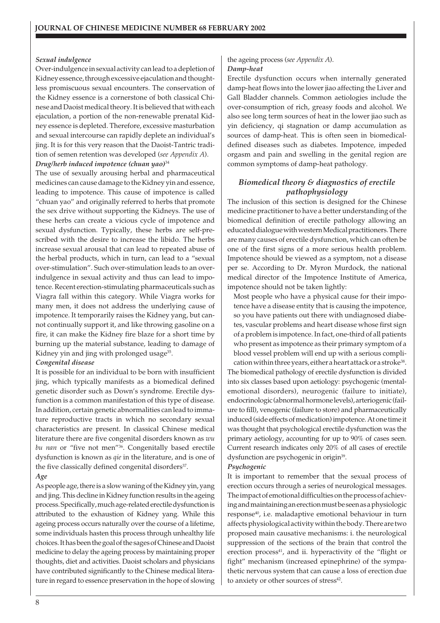# *Sexual indulgence*

Over-indulgence in sexual activity can lead to a depletion of Kidney essence, through excessive ejaculation and thoughtless promiscuous sexual encounters. The conservation of the Kidney essence is a cornerstone of both classical Chinese and Daoist medical theory. It is believed that with each ejaculation, a portion of the non-renewable prenatal Kidney essence is depleted. Therefore, excessive masturbation and sexual intercourse can rapidly deplete an individual's jing. It is for this very reason that the Daoist-Tantric tradition of semen retention was developed (*see Appendix A*). *Drug/herb induced impotence (chuan yao)*<sup>34</sup>

The use of sexually arousing herbal and pharmaceutical medicines can cause damage to the Kidney yin and essence, leading to impotence. This cause of impotence is called "chuan yao" and originally referred to herbs that promote the sex drive without supporting the Kidneys. The use of these herbs can create a vicious cycle of impotence and sexual dysfunction. Typically, these herbs are self-prescribed with the desire to increase the libido. The herbs increase sexual arousal that can lead to repeated abuse of the herbal products, which in turn, can lead to a "sexual over-stimulation". Such over-stimulation leads to an overindulgence in sexual activity and thus can lead to impotence. Recent erection-stimulating pharmaceuticals such as Viagra fall within this category. While Viagra works for many men, it does not address the underlying cause of impotence. It temporarily raises the Kidney yang, but cannot continually support it, and like throwing gasoline on a fire, it can make the Kidney fire blaze for a short time by burning up the material substance, leading to damage of Kidney yin and jing with prolonged usage<sup>35</sup>.

#### *Congenital disease*

It is possible for an individual to be born with insufficient jing, which typically manifests as a biomedical defined genetic disorder such as Down's syndrome. Erectile dysfunction is a common manifestation of this type of disease. In addition, certain genetic abnormalities can lead to immature reproductive tracts in which no secondary sexual characteristics are present. In classical Chinese medical literature there are five congenital disorders known as *wu bu nan* or "five not men"36. Congenitally based erectile dysfunction is known as *qie* in the literature, and is one of the five classically defined congenital disorders<sup>37</sup>.

# *Age*

As people age, there is a slow waning of the Kidney yin, yang and jing. This decline in Kidney function results in the ageing process. Specifically, much age-related erectile dysfunction is attributed to the exhaustion of Kidney yang. While this ageing process occurs naturally over the course of a lifetime, some individuals hasten this process through unhealthy life choices. It has been the goal of the sages of Chinese and Daoist medicine to delay the ageing process by maintaining proper thoughts, diet and activities. Daoist scholars and physicians have contributed significantly to the Chinese medical literature in regard to essence preservation in the hope of slowing

# the ageing process (*see Appendix A*). *Damp-heat*

Erectile dysfunction occurs when internally generated damp-heat flows into the lower jiao affecting the Liver and Gall Bladder channels. Common aetiologies include the over-consumption of rich, greasy foods and alcohol. We also see long term sources of heat in the lower jiao such as yin deficiency, qi stagnation or damp accumulation as sources of damp-heat. This is often seen in biomedicaldefined diseases such as diabetes. Impotence, impeded orgasm and pain and swelling in the genital region are common symptoms of damp-heat pathology.

# *Biomedical theory & diagnostics of erectile pathophysiology*

The inclusion of this section is designed for the Chinese medicine practitioner to have a better understanding of the biomedical definition of erectile pathology allowing an educated dialogue with western Medical practitioners. There are many causes of erectile dysfunction, which can often be one of the first signs of a more serious health problem. Impotence should be viewed as a symptom, not a disease per se. According to Dr. Myron Murdock, the national medical director of the Impotence Institute of America, impotence should not be taken lightly:

Most people who have a physical cause for their impotence have a disease entity that is causing the impotence, so you have patients out there with undiagnosed diabetes, vascular problems and heart disease whose first sign of a problem is impotence. In fact, one-third of all patients who present as impotence as their primary symptom of a blood vessel problem will end up with a serious compli-

cation within three years, either a heart attack or a stroke<sup>38</sup>. The biomedical pathology of erectile dysfunction is divided into six classes based upon aetiology: psychogenic (mentalemotional disorders), neurogenic (failure to initiate), endocrinologic (abnormal hormone levels), arteriogenic (failure to fill), venogenic (failure to store) and pharmaceutically induced (side effects of medication) impotence. At one time it was thought that psychological erectile dysfunction was the primary aetiology, accounting for up to 90% of cases seen. Current research indicates only 20% of all cases of erectile dysfunction are psychogenic in origin<sup>39</sup>.

# *Psychogenic*

It is important to remember that the sexual process of erection occurs through a series of neurological messages. The impact of emotional difficulties on the process of achieving and maintaining an erection must be seen as a physiologic response<sup>40</sup>, i.e. maladaptive emotional behaviour in turn affects physiological activity within the body. There are two proposed main causative mechanisms: i. the neurological suppression of the sections of the brain that control the erection process<sup>41</sup>, and ii. hyperactivity of the "flight or fight" mechanism (increased epinephrine) of the sympathetic nervous system that can cause a loss of erection due to anxiety or other sources of stress<sup>42</sup>.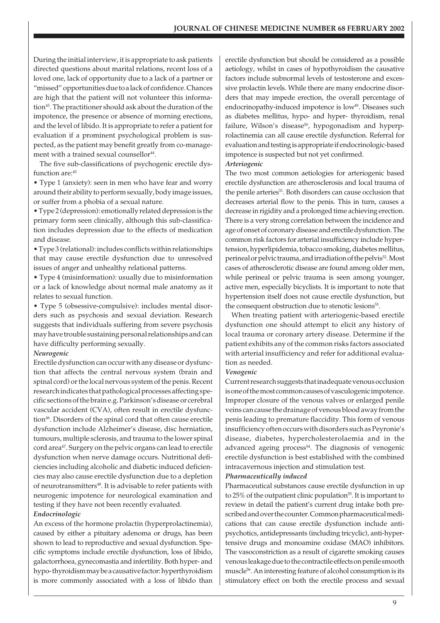During the initial interview, it is appropriate to ask patients directed questions about marital relations, recent loss of a loved one, lack of opportunity due to a lack of a partner or "missed" opportunities due to a lack of confidence. Chances are high that the patient will not volunteer this information<sup>43</sup>. The practitioner should ask about the duration of the impotence, the presence or absence of morning erections, and the level of libido. It is appropriate to refer a patient for evaluation if a prominent psychological problem is suspected, as the patient may benefit greatly from co-management with a trained sexual counsellor<sup>44</sup>.

The five sub-classifications of psychogenic erectile dysfunction are:45

• Type 1 (anxiety): seen in men who have fear and worry around their ability to perform sexually, body image issues, or suffer from a phobia of a sexual nature.

• Type 2 (depression): emotionally related depression is the primary form seen clinically, although this sub-classification includes depression due to the effects of medication and disease.

• Type 3 (relational): includes conflicts within relationships that may cause erectile dysfunction due to unresolved issues of anger and unhealthy relational patterns.

• Type 4 (misinformation): usually due to misinformation or a lack of knowledge about normal male anatomy as it relates to sexual function.

• Type 5 (obsessive-compulsive): includes mental disorders such as psychosis and sexual deviation. Research suggests that individuals suffering from severe psychosis may have trouble sustaining personal relationships and can have difficulty performing sexually.

#### *Neurogenic*

Erectile dysfunction can occur with any disease or dysfunction that affects the central nervous system (brain and spinal cord) or the local nervous system of the penis. Recent research indicates that pathological processes affecting specific sections of the brain e.g. Parkinson's disease or cerebral vascular accident (CVA), often result in erectile dysfunction<sup>46</sup>. Disorders of the spinal cord that often cause erectile dysfunction include Alzheimer's disease, disc herniation, tumours, multiple sclerosis, and trauma to the lower spinal cord area<sup>47</sup>. Surgery on the pelvic organs can lead to erectile dysfunction when nerve damage occurs. Nutritional deficiencies including alcoholic and diabetic induced deficiencies may also cause erectile dysfunction due to a depletion of neurotransmitters<sup>48</sup>. It is advisable to refer patients with neurogenic impotence for neurological examination and testing if they have not been recently evaluated.

#### *Endocrinologic*

An excess of the hormone prolactin (hyperprolactinemia), caused by either a pituitary adenoma or drugs, has been shown to lead to reproductive and sexual dysfunction. Specific symptoms include erectile dysfunction, loss of libido, galactorrhoea, gynecomastia and infertility. Both hyper- and hypo- thyroidism may be a causative factor: hyperthyroidism is more commonly associated with a loss of libido than

erectile dysfunction but should be considered as a possible aetiology, whilst in cases of hypothyroidism the causative factors include subnormal levels of testosterone and excessive prolactin levels. While there are many endocrine disorders that may impede erection, the overall percentage of endocrinopathy-induced impotence is low<sup>49</sup>. Diseases such as diabetes mellitus, hypo- and hyper- thyroidism, renal failure, Wilson's disease<sup>50</sup>, hypogonadism and hyperprolactinemia can all cause erectile dysfunction. Referral for evaluation and testing is appropriate if endocrinologic-based impotence is suspected but not yet confirmed.

#### *Arteriogenic*

The two most common aetiologies for arteriogenic based erectile dysfunction are atherosclerosis and local trauma of the penile arteries<sup>51</sup>. Both disorders can cause occlusion that decreases arterial flow to the penis. This in turn, causes a decrease in rigidity and a prolonged time achieving erection. There is a very strong correlation between the incidence and age of onset of coronary disease and erectile dysfunction. The common risk factors for arterial insufficiency include hypertension, hyperlipidemia, tobacco smoking, diabetes mellitus, perineal or pelvic trauma, and irradiation of the pelvis<sup>52</sup>. Most cases of atherosclerotic disease are found among older men, while perineal or pelvic trauma is seen among younger, active men, especially bicyclists. It is important to note that hypertension itself does not cause erectile dysfunction, but the consequent obstruction due to stenotic lesions<sup>53</sup>.

When treating patient with arteriogenic-based erectile dysfunction one should attempt to elicit any history of local trauma or coronary artery disease. Determine if the patient exhibits any of the common risks factors associated with arterial insufficiency and refer for additional evaluation as needed.

#### *Venogenic*

Current research suggests that inadequate venous occlusion is one of the most common causes of vasculogenic impotence. Improper closure of the venous valves or enlarged penile veins can cause the drainage of venous blood away from the penis leading to premature flaccidity. This form of venous insufficiency often occurs with disorders such as Peyronie's disease, diabetes, hypercholesterolaemia and in the advanced ageing process<sup>54</sup>. The diagnosis of venogenic erectile dysfunction is best established with the combined intracavernous injection and stimulation test.

#### *Pharmaceutically induced*

Pharmaceutical substances cause erectile dysfunction in up to 25% of the outpatient clinic population<sup>55</sup>. It is important to review in detail the patient's current drug intake both prescribed and over the counter. Common pharmaceutical medications that can cause erectile dysfunction include antipsychotics, antidepressants (including tricyclic), anti-hypertensive drugs and monoamine oxidase (MAO) inhibitors. The vasoconstriction as a result of cigarette smoking causes venous leakage due to the contractile effects on penile smooth muscle<sup>56</sup>. An interesting feature of alcohol consumption is its stimulatory effect on both the erectile process and sexual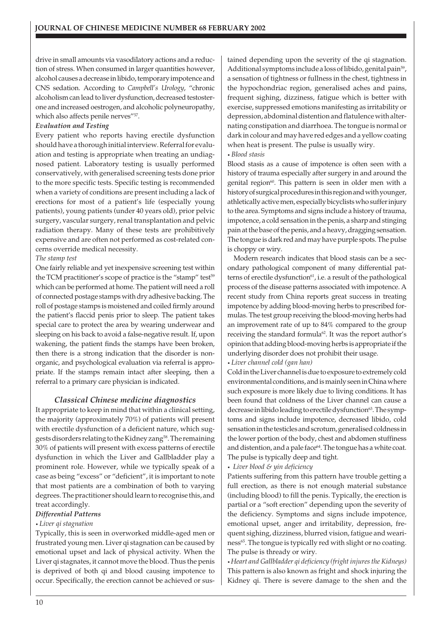drive in small amounts via vasodilatory actions and a reduction of stress. When consumed in larger quantities however, alcohol causes a decrease in libido, temporary impotence and CNS sedation. According to *Campbell's Urology*, "chronic alcoholism can lead to liver dysfunction, decreased testosterone and increased oestrogen, and alcoholic polyneuropathy, which also affects penile nerves"<sup>57</sup>.

# *Evaluation and Testing*

Every patient who reports having erectile dysfunction should have a thorough initial interview. Referral for evaluation and testing is appropriate when treating an undiagnosed patient. Laboratory testing is usually performed conservatively, with generalised screening tests done prior to the more specific tests. Specific testing is recommended when a variety of conditions are present including a lack of erections for most of a patient's life (especially young patients), young patients (under 40 years old), prior pelvic surgery, vascular surgery, renal transplantation and pelvic radiation therapy. Many of these tests are prohibitively expensive and are often not performed as cost-related concerns override medical necessity.

# *The stamp test*

One fairly reliable and yet inexpensive screening test within the TCM practitioner's scope of practice is the "stamp" test<sup>59</sup> which can be performed at home. The patient will need a roll of connected postage stamps with dry adhesive backing. The roll of postage stamps is moistened and coiled firmly around the patient's flaccid penis prior to sleep. The patient takes special care to protect the area by wearing underwear and sleeping on his back to avoid a false-negative result. If, upon wakening, the patient finds the stamps have been broken, then there is a strong indication that the disorder is nonorganic, and psychological evaluation via referral is appropriate. If the stamps remain intact after sleeping, then a referral to a primary care physician is indicated.

# *Classical Chinese medicine diagnostics*

It appropriate to keep in mind that within a clinical setting, the majority (approximately 70%) of patients will present with erectile dysfunction of a deficient nature, which suggests disorders relating to the Kidney zang<sup>58</sup>. The remaining 30% of patients will present with excess patterns of erectile dysfunction in which the Liver and Gallbladder play a prominent role. However, while we typically speak of a case as being "excess" or "deficient", it is important to note that most patients are a combination of both to varying degrees. The practitioner should learn to recognise this, and treat accordingly.

# *Differential Patterns*

# *• Liver qi stagnation*

Typically, this is seen in overworked middle-aged men or frustrated young men. Liver qi stagnation can be caused by emotional upset and lack of physical activity. When the Liver qi stagnates, it cannot move the blood. Thus the penis is deprived of both qi and blood causing impotence to occur. Specifically, the erection cannot be achieved or sustained depending upon the severity of the qi stagnation. Additional symptoms include a loss of libido, genital pain<sup>59</sup>, a sensation of tightness or fullness in the chest, tightness in the hypochondriac region, generalised aches and pains, frequent sighing, dizziness, fatigue which is better with exercise, suppressed emotions manifesting as irritability or depression, abdominal distention and flatulence with alternating constipation and diarrhoea. The tongue is normal or dark in colour and may have red edges and a yellow coating when heat is present. The pulse is usually wiry. *• Blood stasis*

Blood stasis as a cause of impotence is often seen with a history of trauma especially after surgery in and around the genital region<sup>60</sup>. This pattern is seen in older men with a history of surgical procedures in this region and with younger, athletically active men, especially bicyclists who suffer injury to the area. Symptoms and signs include a history of trauma, impotence, a cold sensation in the penis, a sharp and stinging pain at the base of the penis, and a heavy, dragging sensation. The tongue is dark red and may have purple spots. The pulse is choppy or wiry.

Modern research indicates that blood stasis can be a secondary pathological component of many differential patterns of erectile dysfunction<sup>61</sup>, i.e. a result of the pathological process of the disease patterns associated with impotence. A recent study from China reports great success in treating impotence by adding blood-moving herbs to prescribed formulas. The test group receiving the blood-moving herbs had an improvement rate of up to 84% compared to the group receiving the standard formula<sup>62</sup>. It was the report author's opinion that adding blood-moving herbs is appropriate if the underlying disorder does not prohibit their usage.

*• Liver channel cold (gan han)*

Cold in the Liver channel is due to exposure to extremely cold environmental conditions, and is mainly seen in China where such exposure is more likely due to living conditions. It has been found that coldness of the Liver channel can cause a decrease in libido leading to erectile dysfunction<sup>63</sup>. The symptoms and signs include impotence, decreased libido, cold sensation in the testicles and scrotum, generalised coldness in the lower portion of the body, chest and abdomen stuffiness and distention, and a pale face<sup>64</sup>. The tongue has a white coat. The pulse is typically deep and tight.

*• Liver blood & yin deficiency*

Patients suffering from this pattern have trouble getting a full erection, as there is not enough material substance (including blood) to fill the penis. Typically, the erection is partial or a "soft erection" depending upon the severity of the deficiency. Symptoms and signs include impotence, emotional upset, anger and irritability, depression, frequent sighing, dizziness, blurred vision, fatigue and weariness<sup>65</sup>. The tongue is typically red with slight or no coating. The pulse is thready or wiry.

*• Heart and Gallbladder qi deficiency (fright injures the Kidneys)* This pattern is also known as fright and shock injuring the Kidney qi. There is severe damage to the shen and the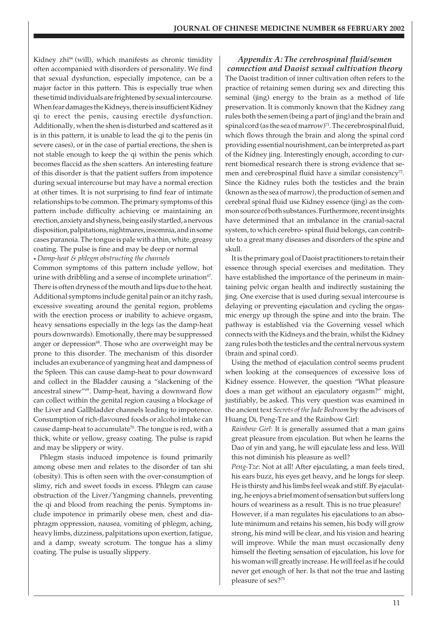Kidney zhi<sup>66</sup> (will), which manifests as chronic timidity often accompanied with disorders of personality. We find that sexual dysfunction, especially impotence, can be a major factor in this pattern. This is especially true when these timid individuals are frightened by sexual intercourse. When fear damages the Kidneys, there is insufficient Kidney qi to erect the penis, causing erectile dysfunction. Additionally, when the shen is disturbed and scattered as it is in this pattern, it is unable to lead the qi to the penis (in severe cases), or in the case of partial erections, the shen is not stable enough to keep the qi within the penis which becomes flaccid as the shen scatters. An interesting feature of this disorder is that the patient suffers from impotence during sexual intercourse but may have a normal erection at other times. It is not surprising to find fear of intimate relationships to be common. The primary symptoms of this pattern include difficulty achieving or maintaining an erection, anxiety and shyness, being easily startled, a nervous disposition, palpitations, nightmares, insomnia, and in some cases paranoia. The tongue is pale with a thin, white, greasy coating. The pulse is fine and may be deep or normal *• Damp-heat & phlegm obstructing the channels*

Common symptoms of this pattern include yellow, hot urine with dribbling and a sense of incomplete urination<sup>67</sup>. There is often dryness of the mouth and lips due to the heat. Additional symptoms include genital pain or an itchy rash, excessive sweating around the genital region, problems with the erection process or inability to achieve orgasm, heavy sensations especially in the legs (as the damp-heat pours downwards). Emotionally, there may be suppressed anger or depression<sup>68</sup>. Those who are overweight may be prone to this disorder. The mechanism of this disorder includes an exuberance of yangming heat and dampness of the Spleen. This can cause damp-heat to pour downward and collect in the Bladder causing a "slackening of the ancestral sinew"69. Damp-heat, having a downward flow can collect within the genital region causing a blockage of the Liver and Gallbladder channels leading to impotence. Consumption of rich-flavoured foods or alcohol intake can cause damp-heat to accumulate<sup>70</sup>. The tongue is red, with a thick, white or yellow, greasy coating. The pulse is rapid and may be slippery or wiry.

Phlegm stasis induced impotence is found primarily among obese men and relates to the disorder of tan shi (obesity). This is often seen with the over-consumption of slimy, rich and sweet foods in excess. Phlegm can cause obstruction of the Liver/Yangming channels, preventing the qi and blood from reaching the penis. Symptoms include impotence in primarily obese men, chest and diaphragm oppression, nausea, vomiting of phlegm, aching, heavy limbs, dizziness, palpitations upon exertion, fatigue, and a damp, sweaty scrotum. The tongue has a slimy coating. The pulse is usually slippery.

*Appendix A: The cerebrospinal fluid/semen connection and Daoist sexual cultivation theory* The Daoist tradition of inner cultivation often refers to the practice of retaining semen during sex and directing this seminal (jing) energy to the brain as a method of life preservation. It is commonly known that the Kidney zang rules both the semen (being a part of jing) and the brain and spinal cord (as the sea of marrow) $71$ . The cerebrospinal fluid, which flows through the brain and along the spinal cord providing essential nourishment, can be interpreted as part of the Kidney jing. Interestingly enough, according to current biomedical research there is strong evidence that semen and cerebrospinal fluid have a similar consistency<sup>72</sup>. Since the Kidney rules both the testicles and the brain (known as the sea of marrow), the production of semen and cerebral spinal fluid use Kidney essence (jing) as the common source of both substances. Furthermore, recent insights have determined that an imbalance in the cranial-sacral system, to which cerebro- spinal fluid belongs, can contribute to a great many diseases and disorders of the spine and skull.

It is the primary goal of Daoist practitioners to retain their essence through special exercises and meditation. They have established the importance of the perineum in maintaining pelvic organ health and indirectly sustaining the jing. One exercise that is used during sexual intercourse is delaying or preventing ejaculation and cycling the orgasmic energy up through the spine and into the brain. The pathway is established via the Governing vessel which connects with the Kidneys and the brain, whilst the Kidney zang rules both the testicles and the central nervous system (brain and spinal cord).

Using the method of ejaculation control seems prudent when looking at the consequences of excessive loss of Kidney essence. However, the question "What pleasure does a man get without an ejaculatory orgasm?" might, justifiably, be asked. This very question was examined in the ancient text *Secrets of the Jade Bedroom* by the advisors of Huang Di, Peng-Tze and the Rainbow Girl:

*Rainbow Girl*: It is generally assumed that a man gains great pleasure from ejaculation. But when he learns the Dao of yin and yang, he will ejaculate less and less. Will this not diminish his pleasure as well?

*Peng-Tze*: Not at all! After ejaculating, a man feels tired, his ears buzz, his eyes get heavy, and he longs for sleep. He is thirsty and his limbs feel weak and stiff. By ejaculating, he enjoys a brief moment of sensation but suffers long hours of weariness as a result. This is no true pleasure! However, if a man regulates his ejaculations to an absolute minimum and retains his semen, his body will grow strong, his mind will be clear, and his vision and hearing will improve. While the man must occasionally deny himself the fleeting sensation of ejaculation, his love for his woman will greatly increase. He will feel as if he could never get enough of her. Is that not the true and lasting pleasure of sex?73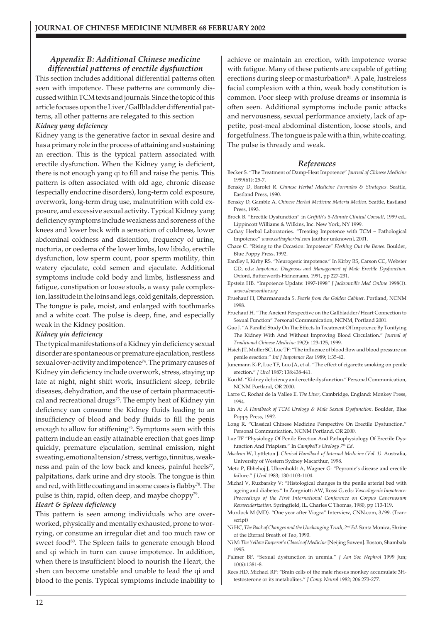# *Appendix B: Additional Chinese medicine differential patterns of erectile dysfunction*

This section includes additional differential patterns often seen with impotence. These patterns are commonly discussed within TCM texts and journals. Since the topic of this article focuses upon the Liver/Gallbladder differential patterns, all other patterns are relegated to this section

#### *Kidney yang deficiency*

Kidney yang is the generative factor in sexual desire and has a primary role in the process of attaining and sustaining an erection. This is the typical pattern associated with erectile dysfunction. When the Kidney yang is deficient, there is not enough yang qi to fill and raise the penis. This pattern is often associated with old age, chronic disease (especially endocrine disorders), long-term cold exposure, overwork, long-term drug use, malnutrition with cold exposure, and excessive sexual activity. Typical Kidney yang deficiency symptoms include weakness and soreness of the knees and lower back with a sensation of coldness, lower abdominal coldness and distention, frequency of urine, nocturia, or oedema of the lower limbs, low libido, erectile dysfunction, low sperm count, poor sperm motility, thin watery ejaculate, cold semen and ejaculate. Additional symptoms include cold body and limbs, listlessness and fatigue, constipation or loose stools, a waxy pale complexion, lassitude in the loins and legs, cold genitals, depression. The tongue is pale, moist, and enlarged with toothmarks and a white coat. The pulse is deep, fine, and especially weak in the Kidney position.

#### *Kidney yin deficiency*

The typical manifestations of a Kidney yin deficiency sexual disorder are spontaneous or premature ejaculation, restless sexual over-activity and impotence<sup> $74$ </sup>. The primary causes of Kidney yin deficiency include overwork, stress, staying up late at night, night shift work, insufficient sleep, febrile diseases, dehydration, and the use of certain pharmaceutical and recreational drugs<sup>75</sup>. The empty heat of Kidney yin deficiency can consume the Kidney fluids leading to an insufficiency of blood and body fluids to fill the penis enough to allow for stiffening<sup>76</sup>. Symptoms seen with this pattern include an easily attainable erection that goes limp quickly, premature ejaculation, seminal emission, night sweating, emotional tension/stress, vertigo, tinnitus, weakness and pain of the low back and knees, painful heels<sup>77</sup>, palpitations, dark urine and dry stools. The tongue is thin and red, with little coating and in some cases is flabby<sup>78</sup>. The pulse is thin, rapid, often deep, and maybe choppy<sup>79</sup>.

#### *Heart & Spleen deficiency*

This pattern is seen among individuals who are overworked, physically and mentally exhausted, prone to worrying, or consume an irregular diet and too much raw or sweet food<sup>80</sup>. The Spleen fails to generate enough blood and qi which in turn can cause impotence. In addition, when there is insufficient blood to nourish the Heart, the shen can become unstable and unable to lead the qi and blood to the penis. Typical symptoms include inability to

achieve or maintain an erection, with impotence worse with fatigue. Many of these patients are capable of getting erections during sleep or masturbation<sup>81</sup>. A pale, lustreless facial complexion with a thin, weak body constitution is common. Poor sleep with profuse dreams or insomnia is often seen. Additional symptoms include panic attacks and nervousness, sexual performance anxiety, lack of appetite, post-meal abdominal distention, loose stools, and forgetfulness. The tongue is pale with a thin, white coating. The pulse is thready and weak.

#### *References*

- Becker S. "The Treatment of Damp-Heat Impotence" *Journal of Chinese Medicine* 1999(61): 25-7.
- Bensky D, Barolet R. *Chinese Herbal Medicine Formulas & Strategies.* Seattle, Eastland Press, 1990.
- Bensky D, Gamble A. *Chinese Herbal Medicine Materia Medica*. Seattle, Eastland Press, 1993.
- Brock B. "Erectile Dysfunction" in *Griffith's 5-Minute Clinical Consult,* 1999 ed., Lippincott Williams & Wilkins, Inc. New York, NY 1999.
- Cathay Herbal Laboratories. "Treating Impotence with TCM Pathological Impotence" *www.cathayherbal.com* [author unknown], 2001.
- Chace C. "Rising to the Occasion: Impotence" *Fleshing Out the Bones*. Boulder, Blue Poppy Press, 1992.
- Eardley I, Kirby RS. "Neurogenic impotence." In Kirby RS, Carson CC, Webster GD, eds: *Impotence: Diagnosis and Management of Male Erectile Dysfunction*. Oxford, Butterworth-Heinemann, 1991, pp 227-231.
- Epstein HB. "Impotence Update: 1997-1998" *J Jacksonville Med Online* 1998(1). *www.dcmsonline.org*
- Fruehauf H, Dharmananda S. *Pearls from the Golden Cabinet.* Portland, NCNM 1998.
- Fruehauf H. "The Ancient Perspective on the Gallbladder/Heart Connection to Sexual Function" Personal Communication, NCNM, Portland 2001.
- Guo J. "A Parallel Study On The Effects In Treatment Of Impotence By Tonifying The Kidney With And Without Improving Blood Circulation." *Journal of Traditional Chinese Medicine* 19(2): 123-125, 1999.
- Hsieh JT, Muller SC, Lue TF: "The influence of blood flow and blood pressure on penile erection." *Int J Impotence Res* 1989; 1:35-42.
- Junemann K-P, Lue TF, Luo JA, et al. "The effect of cigarette smoking on penile erection." *J Urol* 1987; 138:438-441.
- Kou M. "Kidney deficiency and erectile dysfunction." Personal Communication, NCNM Portland, OR 2000.
- Larre C, Rochat de la Vallee E. *The Liver*, Cambridge, England: Monkey Press, 1994.
- Lin A: *A Handbook of TCM Urology & Male Sexual Dysfunction.* Boulder, Blue Poppy Press, 1992.
- Long R. "Classical Chinese Medicine Perspective On Erectile Dysfunction." Personal Communication, NCNM Portland, OR 2000.
- Lue TF "Physiology Of Penile Erection And Pathophysiology Of Erectile Dysfunction And Priapism." In *Campbell's Urology 7th Ed.*
- *Maclean* W, Lyttleton J. *Clinical Handbook of Internal Medicine (Vol. 1).* Australia, University of Western Sydney Macarthur, 1998.
- Metz P, Ebbehoj J, Uhrenholdt A, Wagner G: "Peyronie's disease and erectile failure." *J Urol* 1983; 130:1103-1104.
- Michal V, Ruzbarsky V: "Histological changes in the penile arterial bed with ageing and diabetes." In Zorgniotti AW, Rossi G, eds: *Vasculogenic Impotence: Proceedings of the First International Conference on Corpus Cavernosum Revascularization.* Springfield, IL, Charles C Thomas, 1980, pp 113-119.
- Murdock M (MD). "One year after Viagra" Interview, CNN.com, 3/99. (Transcript)
- Ni HC, *The Book of Changes and the Unchanging Truth, 2nd Ed.* Santa Monica, Shrine of the Eternal Breath of Tao, 1990.
- Ni M: *The Yellow Emperor's Classic of Medicine* [Neijing Suwen]. Boston, Shambala 1995.
- Palmer BF. "Sexual dysfunction in uremia." *J Am Soc Nephrol* 1999 Jun; 10(6):1381-8.
- Rees HD, Michael RP: "Brain cells of the male rhesus monkey accumulate 3Htestosterone or its metabolites." *J Comp Neurol* 1982; 206:273-277.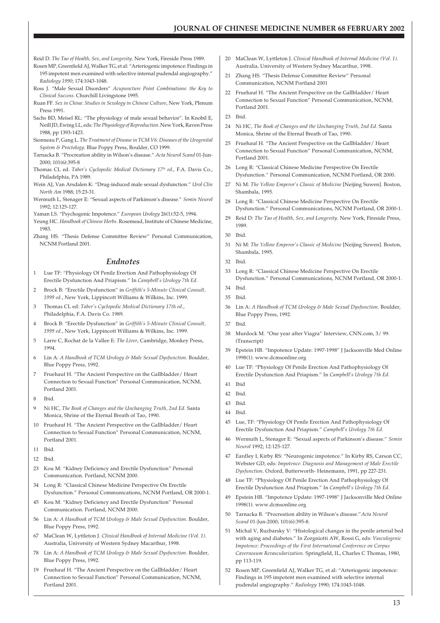Reid D. *The Tao of Health, Sex, and Longevity*. New York, Fireside Press 1989.

- Rosen MP, Greenfield AJ, Walker TG, et al: "Arteriogenic impotence: Findings in 195 impotent men examined with selective internal pudendal angiography." *Radiology 1990*; 174:1043-1048.
- Ross J. "Male Sexual Disorders" *Acupuncture Point Combinations: the Key to Clinical Success.* Churchill Livingstone 1995.
- Ruan FF. *Sex in China: Studies in Sexology in Chinese Culture*, New York, Plenum Press 1991.
- Sachs BD, Meisel RL: "The physiology of male sexual behavior". In Knobil E, Neill JD, Ewing LL, eds: *The Physiology of Reproduction*. New York, Raven Press 1988, pp 1393-1423.
- Sionneau P, Gang L. *The Treatment of Disease in TCM V6: Diseases of the Urogenital System & Proctology*. Blue Poppy Press, Boulder, CO 1999.
- Tarnacka B. "Procreation ability in Wilson's disease." *Acta Neurol Scand* 01-Jun-2000; 101(6):395-8
- Thomas CL ed. *Taber's Cyclopedic Medical Dictionary 17th ed.*, F.A. Davis Co., Philadelphia, PA 1989.
- Wein AJ, Van Arsdalen K: "Drug-induced male sexual dysfunction." *Urol Clin North Am* 1988; 15:23-31.
- Wermuth L, Stenager E: "Sexual aspects of Parkinson's disease." *Semin Neurol* 1992; 12:125-127.

Yaman LS. "Psychogenic Impotence." *European Urology* 26(1):52-5, 1994.

- Yeung HC. *Handbook of Chinese Herbs.* Rosemead, Institute of Chinese Medicine, 1983.
- Zhang HS. "Thesis Defense Committee Review" Personal Communication, NCNM Portland 2001.

#### *Endnotes*

- 1 Lue TF: "Physiology Of Penile Erection And Pathophysiology Of Erectile Dysfunction And Priapism." In *Campbell's Urology 7th Ed.*
- 2 Brock B: "Erectile Dysfunction" in *Griffith's 5-Minute Clinical Consult, 1999 ed.*, New York, Lippincott Williams & Wilkins, Inc. 1999.
- 3 Thomas CL ed: *Taber's Cyclopedic Medical Dictionary 17th ed.*, Philadelphia, F.A. Davis Co. 1989.
- 4 Brock B: "Erectile Dysfunction" in *Griffith's 5-Minute Clinical Consult, 1999 ed.*, New York, Lippincott Williams & Wilkins, Inc. 1999.
- 5 Larre C, Rochat de la Vallee E: *The Liver*, Cambridge, Monkey Press, 1994.
- 6 Lin A: *A Handbook of TCM Urology & Male Sexual Dysfunction.* Boulder, Blue Poppy Press, 1992.
- 7 Fruehauf H. "The Ancient Perspective on the Gallbladder/ Heart Connection to Sexual Function" Personal Communication, NCNM, Portland 2001.
- 8 Ibid.
- 9 Ni HC, *The Book of Changes and the Unchanging Truth, 2nd Ed.* Santa Monica, Shrine of the Eternal Breath of Tao, 1990.
- 10 Fruehauf H. "The Ancient Perspective on the Gallbladder/ Heart Connection to Sexual Function" Personal Communication, NCNM, Portland 2001.
- 11 Ibid.
- 12 Ibid.
- 23 Kou M: "Kidney Deficiency and Erectile Dysfunction" Personal Communication. Portland, NCNM 2000.
- 34 Long R: "Classical Chinese Medicine Perspective On Erectile Dysfunction." Personal Communications, NCNM Portland, OR 2000-1.
- 45 Kou M: "Kidney Deficiency and Erectile Dysfunction" Personal Communication. Portland, NCNM 2000.
- 56 Lin A: *A Handbook of TCM Urology & Male Sexual Dysfunction.* Boulder, Blue Poppy Press, 1992.
- 67 MaClean W, Lyttleton J. *Clinical Handbook of Internal Medicine (Vol. 1).* Australia, University of Western Sydney Macarthur, 1998.
- 78 Lin A: *A Handbook of TCM Urology & Male Sexual Dysfunction.* Boulder, Blue Poppy Press, 1992.
- 19 Fruehauf H. "The Ancient Perspective on the Gallbladder/ Heart Connection to Sexual Function" Personal Communication, NCNM, Portland 2001.
- 20 MaClean W, Lyttleton J. *Clinical Handbook of Internal Medicine (Vol. 1).* Australia, University of Western Sydney Macarthur, 1998.
- 21 Zhang HS. "Thesis Defense Committee Review" Personal Communication, NCNM Portland 2001
- 22 Fruehauf H. "The Ancient Perspective on the Gallbladder/ Heart Connection to Sexual Function" Personal Communication, NCNM, Portland 2001.
- 23 Ibid.
- 24 Ni HC, *The Book of Changes and the Unchanging Truth, 2nd Ed.* Santa Monica, Shrine of the Eternal Breath of Tao, 1990.
- 25 Fruehauf H. "The Ancient Perspective on the Gallbladder/ Heart Connection to Sexual Function" Personal Communication, NCNM, Portland 2001.
- 26 Long R: "Classical Chinese Medicine Perspective On Erectile Dysfunction." Personal Communication, NCNM Portland, OR 2000.
- 27 Ni M: *The Yellow Emperor's Classic of Medicine* [Neijing Suwen]. Boston, Shambala, 1995.
- 28 Long R: "Classical Chinese Medicine Perspective On Erectile Dysfunction." Personal Communications, NCNM Portland, OR 2000-1.
- 29 Reid D: *The Tao of Health, Sex, and Longevity*. New York, Fireside Press, 1989.
- 30 Ibid.
- 31 Ni M: *The Yellow Emperor's Classic of Medicine* [Neijing Suwen]. Boston, Shambala, 1995.
- 32
- 33 Long R: "Classical Chinese Medicine Perspective On Erectile Dysfunction." Personal Communications, NCNM Portland, OR 2000-1.
- 34 Ibid.
- 35 Ibid.
- 36 Lin A: *A Handbook of TCM Urology & Male Sexual Dysfunction.* Boulder, Blue Poppy Press, 1992.
- 37 Ibid.
- 38 Murdock M. "One year after Viagra" Interview, CNN.com, 3/ 99. (Transcript)
- 39 Epstein HB. "Impotence Update: 1997-1998" J Jacksonville Med Online 1998(1). www.dcmsonline.org
- 40 Lue TF: "Physiology Of Penile Erection And Pathophysiology Of Erectile Dysfunction And Priapism." In *Campbell's Urology 7th Ed.*
- 41 Ibid
- 42 Ibid.
- 43 Ibid.
- 44 Ibid.
- 45 Lue, TF: "Physiology Of Penile Erection And Pathophysiology Of Erectile Dysfunction And Priapism." *Campbell's Urology 7th Ed.*
- 46 Wermuth L, Stenager E: "Sexual aspects of Parkinson's disease." *Semin Neurol* 1992; 12:125-127.
- 47 Eardley I, Kirby RS: "Neurogenic impotence." In Kirby RS, Carson CC, Webster GD, eds: *Impotence: Diagnosis and Management of Male Erectile Dysfunction*. Oxford, Butterworth- Heinemann, 1991, pp 227-231.
- 48 Lue TF: "Physiology Of Penile Erection And Pathophysiology Of Erectile Dysfunction And Priapism." In *Campbell's Urology 7th Ed.*
- 49 Epstein HB. "Impotence Update: 1997-1998" J Jacksonville Med Online 1998(1). www.dcmsonline.org
- 50 Tarnacka B. "Procreation ability in Wilson's disease."*Acta Neurol Scand* 01-Jun-2000; 101(6):395-8.
- 51 Michal V, Ruzbarsky V: "Histological changes in the penile arterial bed with aging and diabetes." In Zorgniotti AW, Rossi G, eds: *Vasculogenic Impotence: Proceedings of the First International Conference on Corpus Cavernosum Revascularization.* Springfield, IL, Charles C Thomas, 1980, pp 113-119.
- 52 Rosen MP, Greenfield AJ, Walker TG, et al: "Arteriogenic impotence: Findings in 195 impotent men examined with selective internal pudendal angiography." *Radiology* 1990; 174:1043-1048.